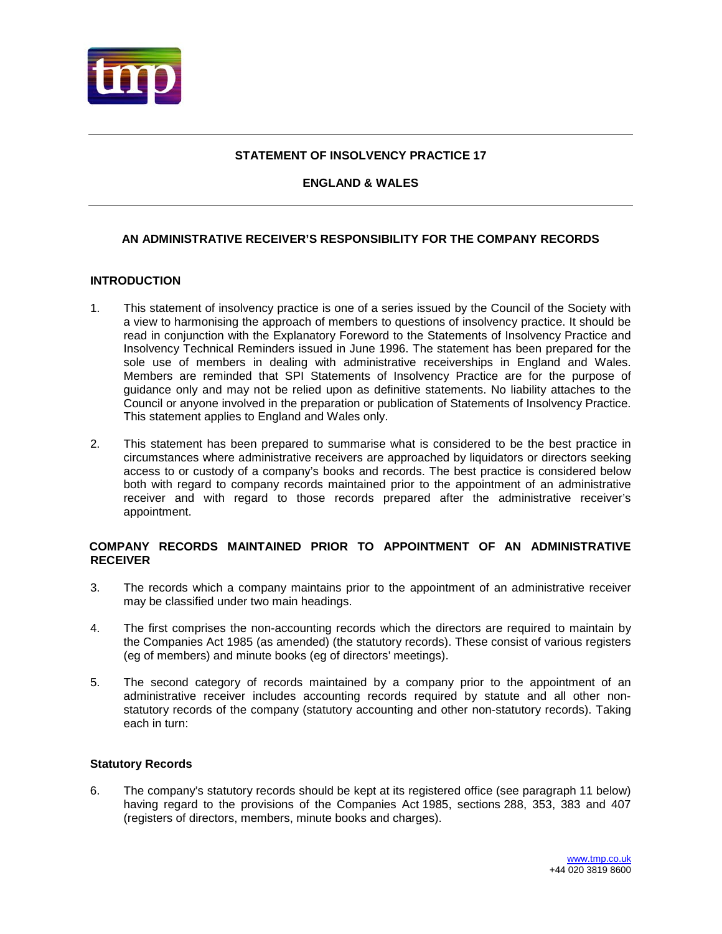

# **STATEMENT OF INSOLVENCY PRACTICE 17**

# **ENGLAND & WALES**

# **AN ADMINISTRATIVE RECEIVER'S RESPONSIBILITY FOR THE COMPANY RECORDS**

## **INTRODUCTION**

- 1. This statement of insolvency practice is one of a series issued by the Council of the Society with a view to harmonising the approach of members to questions of insolvency practice. It should be read in conjunction with the Explanatory Foreword to the Statements of Insolvency Practice and Insolvency Technical Reminders issued in June 1996. The statement has been prepared for the sole use of members in dealing with administrative receiverships in England and Wales. Members are reminded that SPI Statements of Insolvency Practice are for the purpose of guidance only and may not be relied upon as definitive statements. No liability attaches to the Council or anyone involved in the preparation or publication of Statements of Insolvency Practice. This statement applies to England and Wales only.
- 2. This statement has been prepared to summarise what is considered to be the [best practice](http://www.jordansonlineservices.co.uk/NXT/gateway.dll?f=id$id=INSOLVSIP_SIP_0014$t=document-frame.htm$3.0$p=#INSOLVSIP_ZZZ_14) in circumstances where administrative receivers are approached by liquidators or directors seeking access to or custody of a company's books and records. The [best practice](http://www.jordansonlineservices.co.uk/NXT/gateway.dll?f=id$id=INSOLVSIP_SIP_0014$t=document-frame.htm$3.0$p=#INSOLVSIP_ZZZ_14) is considered below both with regard to [company records maintained prior to the appointment of an administrative](http://www.jordansonlineservices.co.uk/NXT/gateway.dll?f=id$id=INSOLVSIP_SIP_0004$t=document-frame.htm$3.0$p=#INSOLVSIP_ZZZ_4)  [receiver](http://www.jordansonlineservices.co.uk/NXT/gateway.dll?f=id$id=INSOLVSIP_SIP_0004$t=document-frame.htm$3.0$p=#INSOLVSIP_ZZZ_4) and with regard to those [records prepared after the administrative receiver's](http://www.jordansonlineservices.co.uk/NXT/gateway.dll?f=id$id=INSOLVSIP_SIP_0008$t=document-frame.htm$3.0$p=#INSOLVSIP_ZZZ_8)  [appointment.](http://www.jordansonlineservices.co.uk/NXT/gateway.dll?f=id$id=INSOLVSIP_SIP_0008$t=document-frame.htm$3.0$p=#INSOLVSIP_ZZZ_8)

## **[COMPANY RECORDS MAINTAINED PRIOR TO APPOINTMENT OF AN ADMINISTRATIVE](http://www.jordansonlineservices.co.uk/NXT/gateway.dll?f=id$id=INSOLVSIP_SIP_0004$t=document-frame.htm$3.0$p=#INSOLVSIP_ZZZ_4)  [RECEIVER](http://www.jordansonlineservices.co.uk/NXT/gateway.dll?f=id$id=INSOLVSIP_SIP_0004$t=document-frame.htm$3.0$p=#INSOLVSIP_ZZZ_4)**

- 3. The records which a company maintains prior to the appointment of an administrative receiver may be classified under two main headings.
- 4. The first comprises the non-accounting records which the directors are required to maintain by the Companies Act 1985 (as amended) (the statutory records). These consist of various registers (eg of members) and minute books (eg of directors' meetings).
- 5. The second category of records maintained by a company prior to the appointment of an administrative receiver includes accounting records required by statute and all other nonstatutory records of the company (statutory accounting and other non-statutory records). Taking each in turn:

## **Statutory Records**

6. The company's statutory records should be kept at its registered office (see paragraph 11 below) having regard to the provisions of the Companies Act 1985, sections 288, 353, 383 and 407 (registers of directors, members, minute books and charges).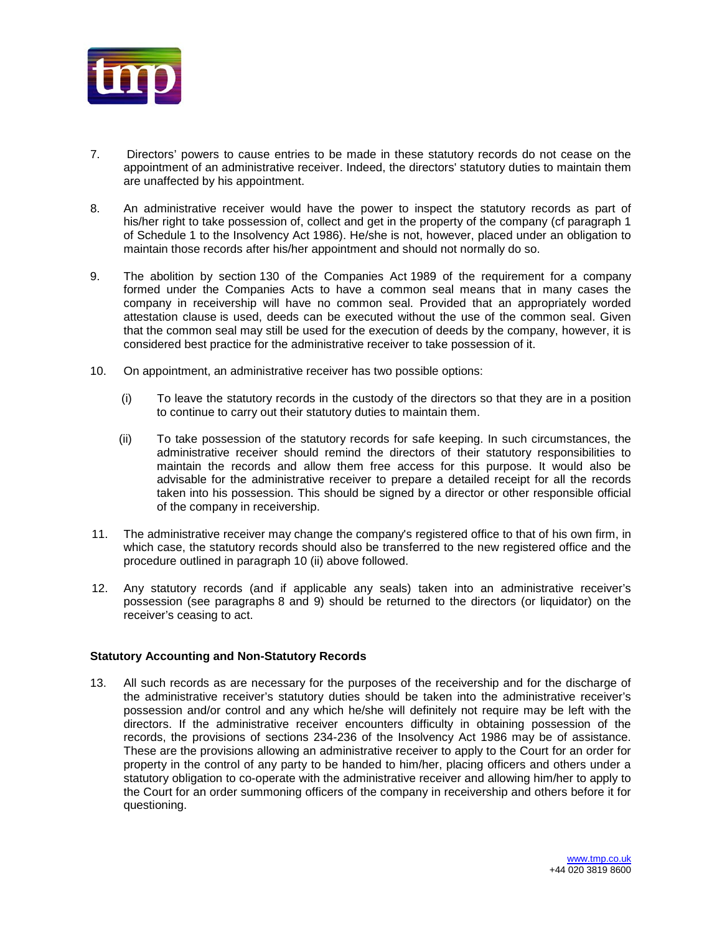

- 7. Directors' powers to cause entries to be made in these statutory records do not cease on the appointment of an administrative receiver. Indeed, the directors' statutory duties to maintain them are unaffected by his appointment.
- 8. An administrative receiver would have the power to inspect the statutory records as part of his/her right to take possession of, collect and get in the property of the company (cf paragraph 1 of Schedule 1 to the Insolvency Act 1986). He/she is not, however, placed under an obligation to maintain those records after his/her appointment and should not normally do so.
- 9. The abolition by section 130 of the Companies Act 1989 of the requirement for a company formed under the Companies Acts to have a common seal means that in many cases the company in receivership will have no common seal. Provided that an appropriately worded attestation clause is used, deeds can be executed without the use of the common seal. Given that the common seal may still be used for the execution of deeds by the company, however, it is considered best practice for the administrative receiver to take possession of it.
- 10. On appointment, an administrative receiver has two possible options:
	- (i) To leave the statutory records in the custody of the directors so that they are in a position to continue to carry out their statutory duties to maintain them.
	- (ii) To take possession of the statutory records for safe keeping. In such circumstances, the administrative receiver should remind the directors of their statutory responsibilities to maintain the records and allow them free access for this purpose. It would also be advisable for the administrative receiver to prepare a detailed receipt for all the records taken into his possession. This should be signed by a director or other responsible official of the company in receivership.
- 11. The administrative receiver may change the company's registered office to that of his own firm, in which case, the statutory records should also be transferred to the new registered office and the procedure outlined in paragraph 10 (ii) above followed.
- 12. Any statutory records (and if applicable any seals) taken into an administrative receiver's possession (see paragraphs 8 and 9) should be returned to the directors (or liquidator) on the receiver's ceasing to act.

## **Statutory Accounting and Non-Statutory Records**

13. All such records as are necessary for the purposes of the receivership and for the discharge of the administrative receiver's statutory duties should be taken into the administrative receiver's possession and/or control and any which he/she will definitely not require may be left with the directors. If the administrative receiver encounters difficulty in obtaining possession of the records, the provisions of sections 234-236 of the Insolvency Act 1986 may be of assistance. These are the provisions allowing an administrative receiver to apply to the Court for an order for property in the control of any party to be handed to him/her, placing officers and others under a statutory obligation to co-operate with the administrative receiver and allowing him/her to apply to the Court for an order summoning officers of the company in receivership and others before it for questioning.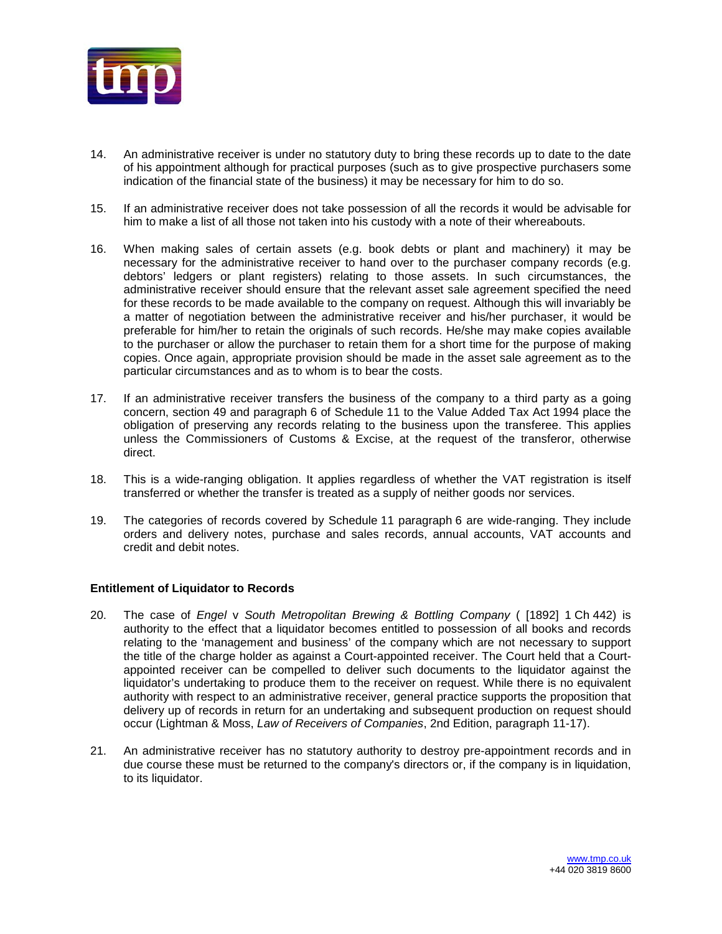

- 14. An administrative receiver is under no statutory duty to bring these records up to date to the date of his appointment although for practical purposes (such as to give prospective purchasers some indication of the financial state of the business) it may be necessary for him to do so.
- 15. If an administrative receiver does not take possession of all the records it would be advisable for him to make a list of all those not taken into his custody with a note of their whereabouts.
- 16. When making sales of certain assets (e.g. book debts or plant and machinery) it may be necessary for the administrative receiver to hand over to the purchaser company records (e.g. debtors' ledgers or plant registers) relating to those assets. In such circumstances, the administrative receiver should ensure that the relevant asset sale agreement specified the need for these records to be made available to the company on request. Although this will invariably be a matter of negotiation between the administrative receiver and his/her purchaser, it would be preferable for him/her to retain the originals of such records. He/she may make copies available to the purchaser or allow the purchaser to retain them for a short time for the purpose of making copies. Once again, appropriate provision should be made in the asset sale agreement as to the particular circumstances and as to whom is to bear the costs.
- 17. If an administrative receiver transfers the business of the company to a third party as a going concern, section 49 and paragraph 6 of Schedule 11 to the Value Added Tax Act 1994 place the obligation of preserving any records relating to the business upon the transferee. This applies unless the Commissioners of Customs & Excise, at the request of the transferor, otherwise direct.
- 18. This is a wide-ranging obligation. It applies regardless of whether the VAT registration is itself transferred or whether the transfer is treated as a supply of neither goods nor services.
- 19. The categories of records covered by Schedule 11 paragraph 6 are wide-ranging. They include orders and delivery notes, purchase and sales records, annual accounts, VAT accounts and credit and debit notes.

## **Entitlement of Liquidator to Records**

- 20. The case of *Engel* v *South Metropolitan Brewing & Bottling Company* ( [1892] 1 Ch 442) is authority to the effect that a liquidator becomes entitled to possession of all books and records relating to the 'management and business' of the company which are not necessary to support the title of the charge holder as against a Court-appointed receiver. The Court held that a Courtappointed receiver can be compelled to deliver such documents to the liquidator against the liquidator's undertaking to produce them to the receiver on request. While there is no equivalent authority with respect to an administrative receiver, general practice supports the proposition that delivery up of records in return for an undertaking and subsequent production on request should occur (Lightman & Moss, *Law of Receivers of Companies*, 2nd Edition, paragraph 11-17).
- 21. An administrative receiver has no statutory authority to destroy pre-appointment records and in due course these must be returned to the company's directors or, if the company is in liquidation, to its liquidator.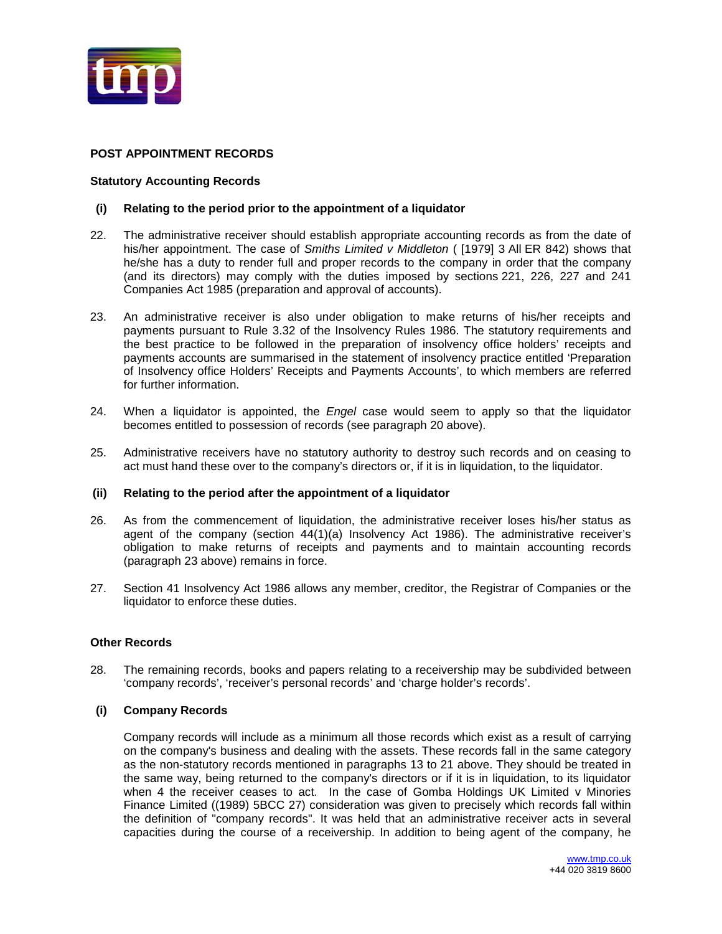

## **POST APPOINTMENT RECORDS**

### **Statutory Accounting Records**

### **(i) Relating to the period prior to the appointment of a liquidator**

- 22. The administrative receiver should establish appropriate accounting records as from the date of his/her appointment. The case of *Smiths Limited v Middleton* ( [1979] 3 All ER 842) shows that he/she has a duty to render full and proper records to the company in order that the company (and its directors) may comply with the duties imposed by sections 221, 226, 227 and 241 Companies Act 1985 (preparation and approval of accounts).
- 23. An administrative receiver is also under obligation to make returns of his/her receipts and payments pursuant to [Rule 3.32](http://www.jordansonlineservices.co.uk/NXT/gateway.dll?f=id$id=INSOLVLEGIS_10_ILH_SI19861925_0038$t=document-frame.htm$3.0$p=#INSOLVLEGIS_10_ILH_SI19861925_r_3-32) of the Insolvency Rules 1986. The statutory requirements and the best practice to be followed in the preparation of insolvency office holders' receipts and payments accounts are summarised in the statement of insolvency practice entitled ['Preparation](http://www.jordansonlineservices.co.uk/NXT/gateway.dll?f=id$id=INSOLVSIP_SIP_0074$t=document-frame.htm$3.0$p=#INSOLVSIP_ZZZ_73)  [of Insolvency office Holders' Receipts and Payments Accounts',](http://www.jordansonlineservices.co.uk/NXT/gateway.dll?f=id$id=INSOLVSIP_SIP_0074$t=document-frame.htm$3.0$p=#INSOLVSIP_ZZZ_73) to which members are referred for further information.
- 24. When a liquidator is appointed, the *Engel* case would seem to apply so that the liquidator becomes entitled to possession of records (see paragraph 20 above).
- 25. Administrative receivers have no statutory authority to destroy such records and on ceasing to act must hand these over to the company's directors or, if it is in liquidation, to the liquidator.

### **(ii) Relating to the period after the appointment of a liquidator**

- 26. As from the commencement of liquidation, the administrative receiver loses his/her status as agent of the company [\(section 44\(1\)\(a\)](http://www.jordansonlineservices.co.uk/NXT/gateway.dll?f=id$id=INSOLVLEGIS_01_ILH_AC19860045_0101$t=document-frame.htm$3.0$p=#INSOLVLEGIS_01_ILH_AC19860045_s_44_1_a) Insolvency Act 1986). The administrative receiver's obligation to make returns of receipts and payments and to maintain accounting records (paragraph 23 above) remains in force.
- 27. [Section 41](http://www.jordansonlineservices.co.uk/NXT/gateway.dll?f=id$id=INSOLVLEGIS_01_ILH_AC19860045_0101$t=document-frame.htm$3.0$p=#INSOLVLEGIS_01_ILH_AC19860045_s_41) Insolvency Act 1986 allows any member, creditor, the Registrar of Companies or the liquidator to enforce these duties.

## **Other Records**

28. The remaining records, books and papers relating to a receivership may be subdivided between 'company records', 'receiver's personal records' and 'charge holder's records'.

### **(i) Company Records**

Company records will include as a minimum all those records which exist as a result of carrying on the company's business and dealing with the assets. These records fall in the same category as the non-statutory records mentioned in paragraphs 13 to 21 above. They should be treated in the same way, being returned to the company's directors or if it is in liquidation, to its liquidator when 4 the receiver ceases to act. In the case of Gomba Holdings UK Limited v Minories Finance Limited ((1989) 5BCC 27) consideration was given to precisely which records fall within the definition of "company records". It was held that an administrative receiver acts in several capacities during the course of a receivership. In addition to being agent of the company, he